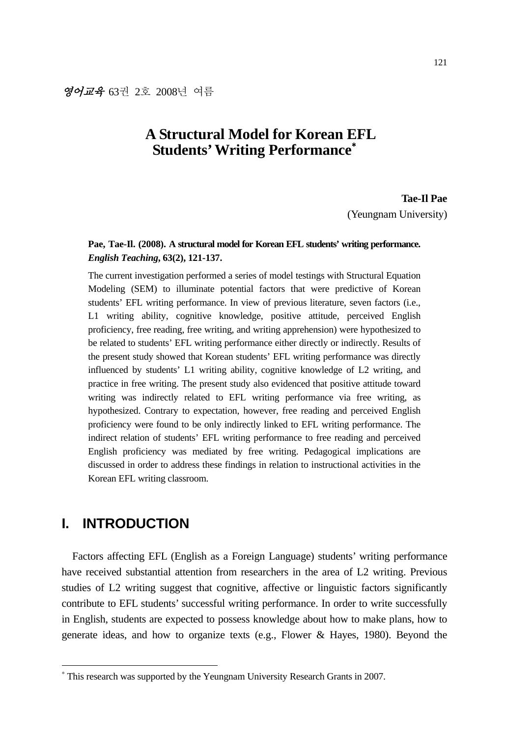# **A Structural Model for Korean EFL Students' Writing Performance**<sup>∗</sup>

**Tae-Il Pae**  (Yeungnam University)

### **Pae, Tae-Il. (2008). A structural model for Korean EFL students' writing performance.**  *English Teaching***, 63(2), 121-137.**

The current investigation performed a series of model testings with Structural Equation Modeling (SEM) to illuminate potential factors that were predictive of Korean students' EFL writing performance. In view of previous literature, seven factors (i.e., L1 writing ability, cognitive knowledge, positive attitude, perceived English proficiency, free reading, free writing, and writing apprehension) were hypothesized to be related to students' EFL writing performance either directly or indirectly. Results of the present study showed that Korean students' EFL writing performance was directly influenced by students' L1 writing ability, cognitive knowledge of L2 writing, and practice in free writing. The present study also evidenced that positive attitude toward writing was indirectly related to EFL writing performance via free writing, as hypothesized. Contrary to expectation, however, free reading and perceived English proficiency were found to be only indirectly linked to EFL writing performance. The indirect relation of students' EFL writing performance to free reading and perceived English proficiency was mediated by free writing. Pedagogical implications are discussed in order to address these findings in relation to instructional activities in the Korean EFL writing classroom.

# **I. INTRODUCTION**

-

Factors affecting EFL (English as a Foreign Language) students' writing performance have received substantial attention from researchers in the area of L2 writing. Previous studies of L2 writing suggest that cognitive, affective or linguistic factors significantly contribute to EFL students' successful writing performance. In order to write successfully in English, students are expected to possess knowledge about how to make plans, how to generate ideas, and how to organize texts (e.g., Flower & Hayes, 1980). Beyond the

<sup>∗</sup> This research was supported by the Yeungnam University Research Grants in 2007.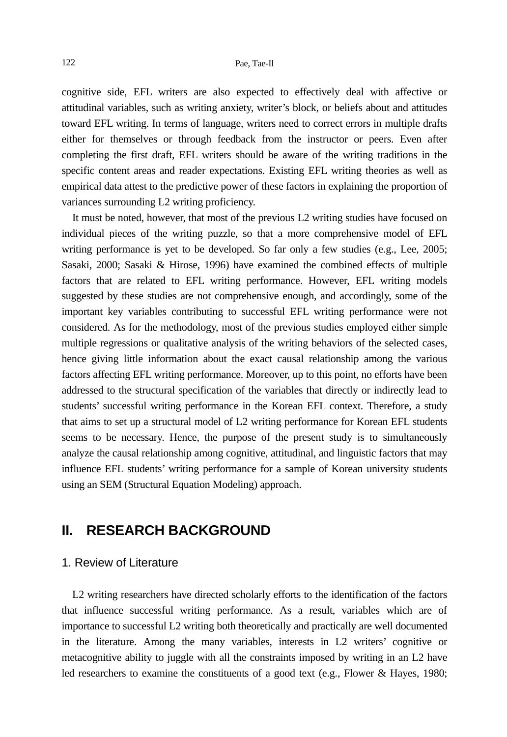cognitive side, EFL writers are also expected to effectively deal with affective or attitudinal variables, such as writing anxiety, writer's block, or beliefs about and attitudes toward EFL writing. In terms of language, writers need to correct errors in multiple drafts either for themselves or through feedback from the instructor or peers. Even after completing the first draft, EFL writers should be aware of the writing traditions in the specific content areas and reader expectations. Existing EFL writing theories as well as empirical data attest to the predictive power of these factors in explaining the proportion of variances surrounding L2 writing proficiency.

It must be noted, however, that most of the previous L2 writing studies have focused on individual pieces of the writing puzzle, so that a more comprehensive model of EFL writing performance is yet to be developed. So far only a few studies (e.g., Lee, 2005; Sasaki, 2000; Sasaki & Hirose, 1996) have examined the combined effects of multiple factors that are related to EFL writing performance. However, EFL writing models suggested by these studies are not comprehensive enough, and accordingly, some of the important key variables contributing to successful EFL writing performance were not considered. As for the methodology, most of the previous studies employed either simple multiple regressions or qualitative analysis of the writing behaviors of the selected cases, hence giving little information about the exact causal relationship among the various factors affecting EFL writing performance. Moreover, up to this point, no efforts have been addressed to the structural specification of the variables that directly or indirectly lead to students' successful writing performance in the Korean EFL context. Therefore, a study that aims to set up a structural model of L2 writing performance for Korean EFL students seems to be necessary. Hence, the purpose of the present study is to simultaneously analyze the causal relationship among cognitive, attitudinal, and linguistic factors that may influence EFL students' writing performance for a sample of Korean university students using an SEM (Structural Equation Modeling) approach.

# **II. RESEARCH BACKGROUND**

#### 1. Review of Literature

L2 writing researchers have directed scholarly efforts to the identification of the factors that influence successful writing performance. As a result, variables which are of importance to successful L2 writing both theoretically and practically are well documented in the literature. Among the many variables, interests in L2 writers' cognitive or metacognitive ability to juggle with all the constraints imposed by writing in an L2 have led researchers to examine the constituents of a good text (e.g., Flower & Hayes, 1980;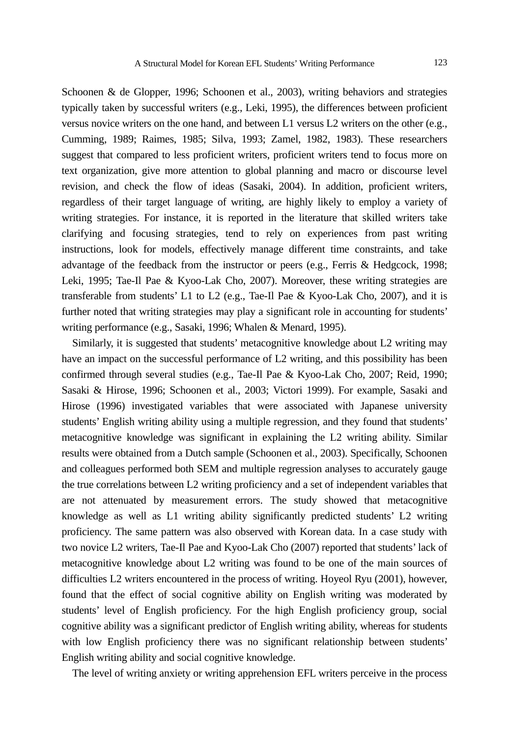Schoonen & de Glopper, 1996; Schoonen et al., 2003), writing behaviors and strategies typically taken by successful writers (e.g., Leki, 1995), the differences between proficient versus novice writers on the one hand, and between L1 versus L2 writers on the other (e.g., Cumming, 1989; Raimes, 1985; Silva, 1993; Zamel, 1982, 1983). These researchers suggest that compared to less proficient writers, proficient writers tend to focus more on text organization, give more attention to global planning and macro or discourse level revision, and check the flow of ideas (Sasaki, 2004). In addition, proficient writers, regardless of their target language of writing, are highly likely to employ a variety of writing strategies. For instance, it is reported in the literature that skilled writers take clarifying and focusing strategies, tend to rely on experiences from past writing instructions, look for models, effectively manage different time constraints, and take advantage of the feedback from the instructor or peers (e.g., Ferris  $\&$  Hedgcock, 1998; Leki, 1995; Tae-Il Pae & Kyoo-Lak Cho, 2007). Moreover, these writing strategies are transferable from students' L1 to L2 (e.g., Tae-Il Pae & Kyoo-Lak Cho, 2007), and it is further noted that writing strategies may play a significant role in accounting for students' writing performance (e.g., Sasaki, 1996; Whalen & Menard, 1995).

Similarly, it is suggested that students' metacognitive knowledge about L2 writing may have an impact on the successful performance of L2 writing, and this possibility has been confirmed through several studies (e.g., Tae-Il Pae & Kyoo-Lak Cho, 2007; Reid, 1990; Sasaki & Hirose, 1996; Schoonen et al., 2003; Victori 1999). For example, Sasaki and Hirose (1996) investigated variables that were associated with Japanese university students' English writing ability using a multiple regression, and they found that students' metacognitive knowledge was significant in explaining the L2 writing ability. Similar results were obtained from a Dutch sample (Schoonen et al., 2003). Specifically, Schoonen and colleagues performed both SEM and multiple regression analyses to accurately gauge the true correlations between L2 writing proficiency and a set of independent variables that are not attenuated by measurement errors. The study showed that metacognitive knowledge as well as L1 writing ability significantly predicted students' L2 writing proficiency. The same pattern was also observed with Korean data. In a case study with two novice L2 writers, Tae-Il Pae and Kyoo-Lak Cho (2007) reported that students' lack of metacognitive knowledge about L2 writing was found to be one of the main sources of difficulties L2 writers encountered in the process of writing. Hoyeol Ryu (2001), however, found that the effect of social cognitive ability on English writing was moderated by students' level of English proficiency. For the high English proficiency group, social cognitive ability was a significant predictor of English writing ability, whereas for students with low English proficiency there was no significant relationship between students' English writing ability and social cognitive knowledge.

The level of writing anxiety or writing apprehension EFL writers perceive in the process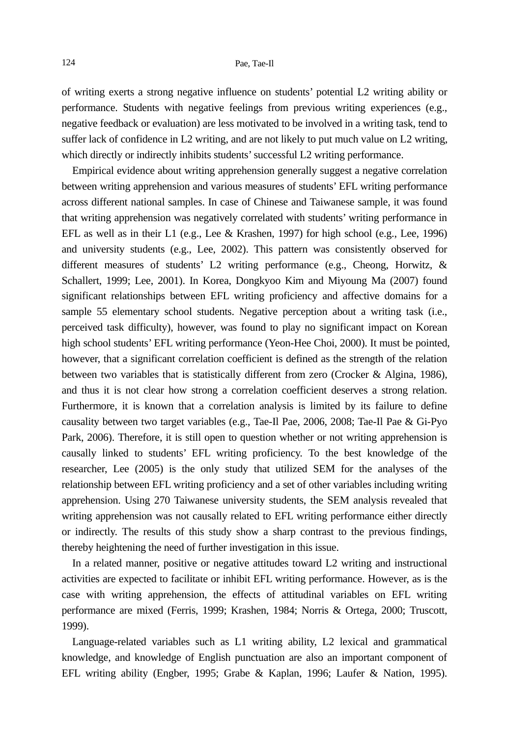#### 124 Pae, Tae-Il

of writing exerts a strong negative influence on students' potential L2 writing ability or performance. Students with negative feelings from previous writing experiences (e.g., negative feedback or evaluation) are less motivated to be involved in a writing task, tend to suffer lack of confidence in L2 writing, and are not likely to put much value on L2 writing, which directly or indirectly inhibits students' successful L2 writing performance.

Empirical evidence about writing apprehension generally suggest a negative correlation between writing apprehension and various measures of students' EFL writing performance across different national samples. In case of Chinese and Taiwanese sample, it was found that writing apprehension was negatively correlated with students' writing performance in EFL as well as in their L1 (e.g., Lee & Krashen, 1997) for high school (e.g., Lee, 1996) and university students (e.g., Lee, 2002). This pattern was consistently observed for different measures of students' L2 writing performance (e.g., Cheong, Horwitz, & Schallert, 1999; Lee, 2001). In Korea, Dongkyoo Kim and Miyoung Ma (2007) found significant relationships between EFL writing proficiency and affective domains for a sample 55 elementary school students. Negative perception about a writing task (i.e., perceived task difficulty), however, was found to play no significant impact on Korean high school students' EFL writing performance (Yeon-Hee Choi, 2000). It must be pointed, however, that a significant correlation coefficient is defined as the strength of the relation between two variables that is statistically different from zero (Crocker & Algina, 1986), and thus it is not clear how strong a correlation coefficient deserves a strong relation. Furthermore, it is known that a correlation analysis is limited by its failure to define causality between two target variables (e.g., Tae-Il Pae, 2006, 2008; Tae-Il Pae & Gi-Pyo Park, 2006). Therefore, it is still open to question whether or not writing apprehension is causally linked to students' EFL writing proficiency. To the best knowledge of the researcher, Lee (2005) is the only study that utilized SEM for the analyses of the relationship between EFL writing proficiency and a set of other variables including writing apprehension. Using 270 Taiwanese university students, the SEM analysis revealed that writing apprehension was not causally related to EFL writing performance either directly or indirectly. The results of this study show a sharp contrast to the previous findings, thereby heightening the need of further investigation in this issue.

In a related manner, positive or negative attitudes toward L2 writing and instructional activities are expected to facilitate or inhibit EFL writing performance. However, as is the case with writing apprehension, the effects of attitudinal variables on EFL writing performance are mixed (Ferris, 1999; Krashen, 1984; Norris & Ortega, 2000; Truscott, 1999).

Language-related variables such as L1 writing ability, L2 lexical and grammatical knowledge, and knowledge of English punctuation are also an important component of EFL writing ability (Engber, 1995; Grabe & Kaplan, 1996; Laufer & Nation, 1995).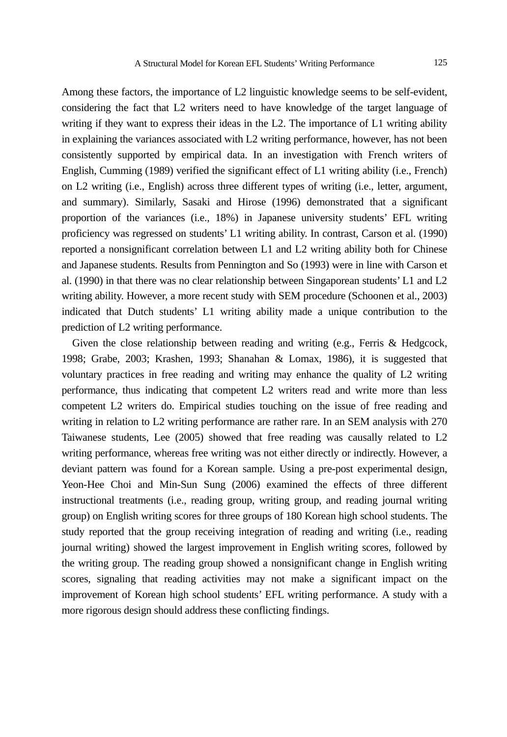Among these factors, the importance of L2 linguistic knowledge seems to be self-evident, considering the fact that L2 writers need to have knowledge of the target language of writing if they want to express their ideas in the L2. The importance of L1 writing ability in explaining the variances associated with L2 writing performance, however, has not been consistently supported by empirical data. In an investigation with French writers of English, Cumming (1989) verified the significant effect of L1 writing ability (i.e., French) on L2 writing (i.e., English) across three different types of writing (i.e., letter, argument, and summary). Similarly, Sasaki and Hirose (1996) demonstrated that a significant proportion of the variances (i.e., 18%) in Japanese university students' EFL writing proficiency was regressed on students' L1 writing ability. In contrast, Carson et al. (1990) reported a nonsignificant correlation between L1 and L2 writing ability both for Chinese and Japanese students. Results from Pennington and So (1993) were in line with Carson et al. (1990) in that there was no clear relationship between Singaporean students' L1 and L2 writing ability. However, a more recent study with SEM procedure (Schoonen et al., 2003) indicated that Dutch students' L1 writing ability made a unique contribution to the prediction of L2 writing performance.

Given the close relationship between reading and writing (e.g., Ferris & Hedgcock, 1998; Grabe, 2003; Krashen, 1993; Shanahan & Lomax, 1986), it is suggested that voluntary practices in free reading and writing may enhance the quality of L2 writing performance, thus indicating that competent L2 writers read and write more than less competent L2 writers do. Empirical studies touching on the issue of free reading and writing in relation to L2 writing performance are rather rare. In an SEM analysis with 270 Taiwanese students, Lee (2005) showed that free reading was causally related to L2 writing performance, whereas free writing was not either directly or indirectly. However, a deviant pattern was found for a Korean sample. Using a pre-post experimental design, Yeon-Hee Choi and Min-Sun Sung (2006) examined the effects of three different instructional treatments (i.e., reading group, writing group, and reading journal writing group) on English writing scores for three groups of 180 Korean high school students. The study reported that the group receiving integration of reading and writing (i.e., reading journal writing) showed the largest improvement in English writing scores, followed by the writing group. The reading group showed a nonsignificant change in English writing scores, signaling that reading activities may not make a significant impact on the improvement of Korean high school students' EFL writing performance. A study with a more rigorous design should address these conflicting findings.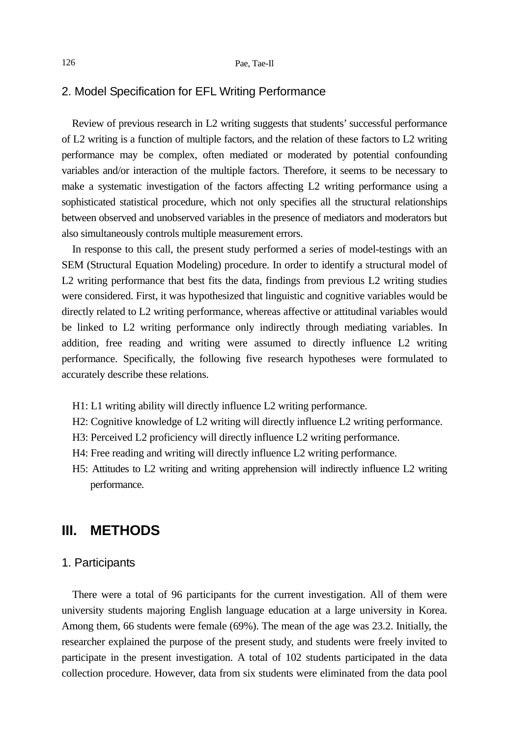#### 2. Model Specification for EFL Writing Performance

Review of previous research in L2 writing suggests that students' successful performance of L2 writing is a function of multiple factors, and the relation of these factors to L2 writing performance may be complex, often mediated or moderated by potential confounding variables and/or interaction of the multiple factors. Therefore, it seems to be necessary to make a systematic investigation of the factors affecting L2 writing performance using a sophisticated statistical procedure, which not only specifies all the structural relationships between observed and unobserved variables in the presence of mediators and moderators but also simultaneously controls multiple measurement errors.

In response to this call, the present study performed a series of model-testings with an SEM (Structural Equation Modeling) procedure. In order to identify a structural model of L2 writing performance that best fits the data, findings from previous L2 writing studies were considered. First, it was hypothesized that linguistic and cognitive variables would be directly related to L2 writing performance, whereas affective or attitudinal variables would be linked to L2 writing performance only indirectly through mediating variables. In addition, free reading and writing were assumed to directly influence L2 writing performance. Specifically, the following five research hypotheses were formulated to accurately describe these relations.

- H1: L1 writing ability will directly influence L2 writing performance.
- H2: Cognitive knowledge of L2 writing will directly influence L2 writing performance.
- H3: Perceived L2 proficiency will directly influence L2 writing performance.
- H4: Free reading and writing will directly influence L2 writing performance.
- H5: Attitudes to L2 writing and writing apprehension will indirectly influence L2 writing performance.

## **III. METHODS**

#### 1. Participants

There were a total of 96 participants for the current investigation. All of them were university students majoring English language education at a large university in Korea. Among them, 66 students were female (69%). The mean of the age was 23.2. Initially, the researcher explained the purpose of the present study, and students were freely invited to participate in the present investigation. A total of 102 students participated in the data collection procedure. However, data from six students were eliminated from the data pool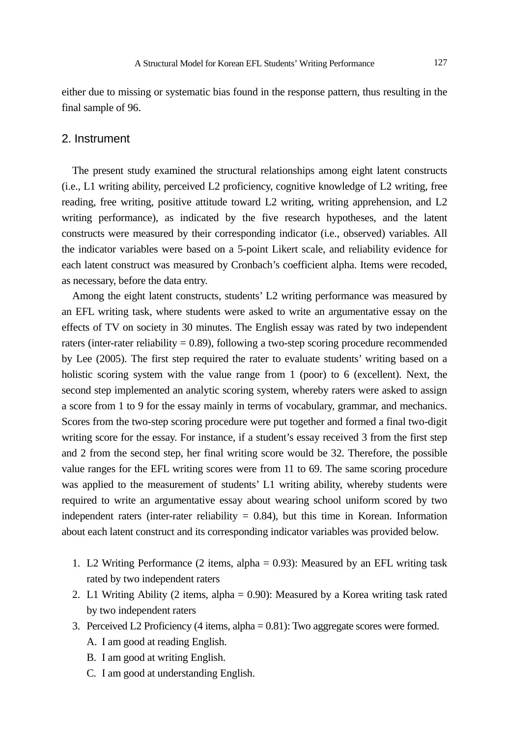either due to missing or systematic bias found in the response pattern, thus resulting in the final sample of 96.

#### 2. Instrument

The present study examined the structural relationships among eight latent constructs (i.e., L1 writing ability, perceived L2 proficiency, cognitive knowledge of L2 writing, free reading, free writing, positive attitude toward L2 writing, writing apprehension, and L2 writing performance), as indicated by the five research hypotheses, and the latent constructs were measured by their corresponding indicator (i.e., observed) variables. All the indicator variables were based on a 5-point Likert scale, and reliability evidence for each latent construct was measured by Cronbach's coefficient alpha. Items were recoded, as necessary, before the data entry.

Among the eight latent constructs, students' L2 writing performance was measured by an EFL writing task, where students were asked to write an argumentative essay on the effects of TV on society in 30 minutes. The English essay was rated by two independent raters (inter-rater reliability = 0.89), following a two-step scoring procedure recommended by Lee (2005). The first step required the rater to evaluate students' writing based on a holistic scoring system with the value range from 1 (poor) to 6 (excellent). Next, the second step implemented an analytic scoring system, whereby raters were asked to assign a score from 1 to 9 for the essay mainly in terms of vocabulary, grammar, and mechanics. Scores from the two-step scoring procedure were put together and formed a final two-digit writing score for the essay. For instance, if a student's essay received 3 from the first step and 2 from the second step, her final writing score would be 32. Therefore, the possible value ranges for the EFL writing scores were from 11 to 69. The same scoring procedure was applied to the measurement of students' L1 writing ability, whereby students were required to write an argumentative essay about wearing school uniform scored by two independent raters (inter-rater reliability  $= 0.84$ ), but this time in Korean. Information about each latent construct and its corresponding indicator variables was provided below.

- 1. L2 Writing Performance (2 items, alpha = 0.93): Measured by an EFL writing task rated by two independent raters
- 2. L1 Writing Ability (2 items, alpha = 0.90): Measured by a Korea writing task rated by two independent raters
- 3. Perceived L2 Proficiency (4 items, alpha = 0.81): Two aggregate scores were formed.
	- A. I am good at reading English.
	- B. I am good at writing English.
	- C. I am good at understanding English.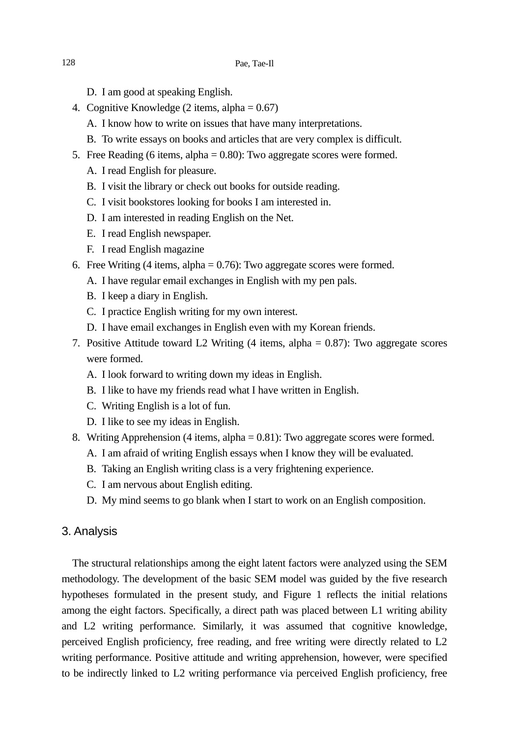- D. I am good at speaking English.
- 4. Cognitive Knowledge (2 items, alpha  $= 0.67$ )
	- A. I know how to write on issues that have many interpretations.
	- B. To write essays on books and articles that are very complex is difficult.
- 5. Free Reading (6 items, alpha = 0.80): Two aggregate scores were formed.
	- A. I read English for pleasure.
	- B. I visit the library or check out books for outside reading.
	- C. I visit bookstores looking for books I am interested in.
	- D. I am interested in reading English on the Net.
	- E. I read English newspaper.
	- F. I read English magazine
- 6. Free Writing  $(4 \text{ items}, \text{alpha} = 0.76)$ : Two aggregate scores were formed.
	- A. I have regular email exchanges in English with my pen pals.
	- B. I keep a diary in English.
	- C. I practice English writing for my own interest.
	- D. I have email exchanges in English even with my Korean friends.
- 7. Positive Attitude toward L2 Writing (4 items, alpha = 0.87): Two aggregate scores were formed.
	- A. I look forward to writing down my ideas in English.
	- B. I like to have my friends read what I have written in English.
	- C. Writing English is a lot of fun.
	- D. I like to see my ideas in English.
- 8. Writing Apprehension (4 items, alpha = 0.81): Two aggregate scores were formed.
	- A. I am afraid of writing English essays when I know they will be evaluated.
	- B. Taking an English writing class is a very frightening experience.
	- C. I am nervous about English editing.
	- D. My mind seems to go blank when I start to work on an English composition.

#### 3. Analysis

The structural relationships among the eight latent factors were analyzed using the SEM methodology. The development of the basic SEM model was guided by the five research hypotheses formulated in the present study, and Figure 1 reflects the initial relations among the eight factors. Specifically, a direct path was placed between L1 writing ability and L2 writing performance. Similarly, it was assumed that cognitive knowledge, perceived English proficiency, free reading, and free writing were directly related to L2 writing performance. Positive attitude and writing apprehension, however, were specified to be indirectly linked to L2 writing performance via perceived English proficiency, free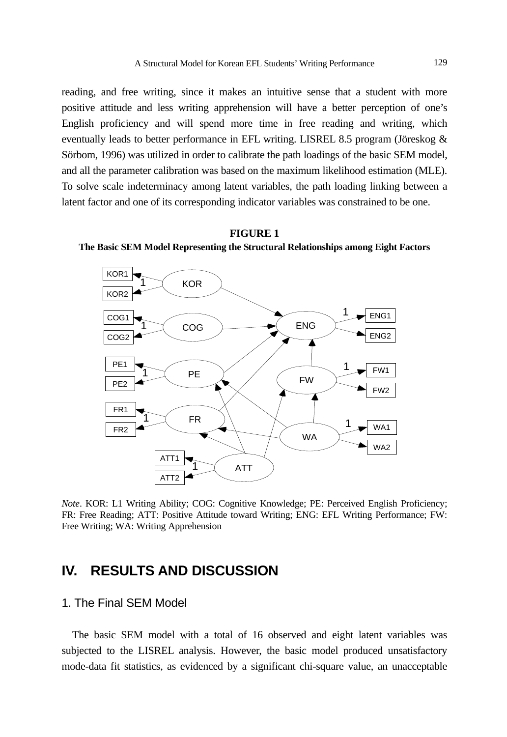reading, and free writing, since it makes an intuitive sense that a student with more positive attitude and less writing apprehension will have a better perception of one's English proficiency and will spend more time in free reading and writing, which eventually leads to better performance in EFL writing. LISREL 8.5 program (Jöreskog & Sörbom, 1996) was utilized in order to calibrate the path loadings of the basic SEM model, and all the parameter calibration was based on the maximum likelihood estimation (MLE). To solve scale indeterminacy among latent variables, the path loading linking between a latent factor and one of its corresponding indicator variables was constrained to be one.





*Note*. KOR: L1 Writing Ability; COG: Cognitive Knowledge; PE: Perceived English Proficiency; FR: Free Reading; ATT: Positive Attitude toward Writing; ENG: EFL Writing Performance; FW: Free Writing; WA: Writing Apprehension

# **IV. RESULTS AND DISCUSSION**

### 1. The Final SEM Model

The basic SEM model with a total of 16 observed and eight latent variables was subjected to the LISREL analysis. However, the basic model produced unsatisfactory mode-data fit statistics, as evidenced by a significant chi-square value, an unacceptable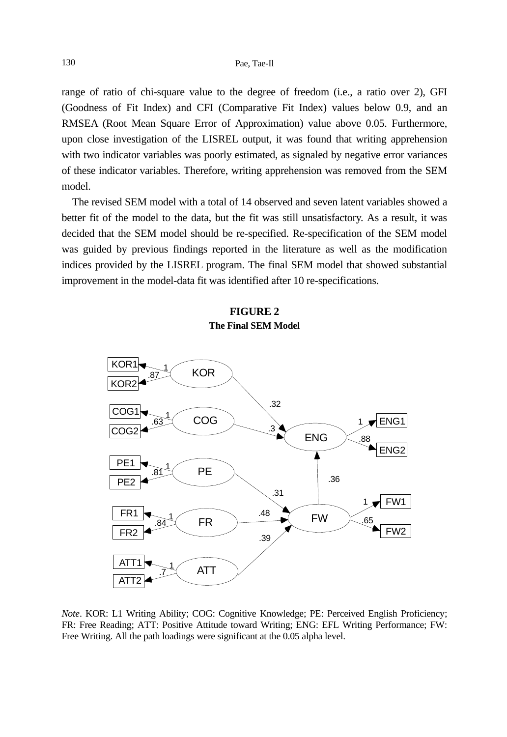range of ratio of chi-square value to the degree of freedom (i.e., a ratio over 2), GFI (Goodness of Fit Index) and CFI (Comparative Fit Index) values below 0.9, and an RMSEA (Root Mean Square Error of Approximation) value above 0.05. Furthermore, upon close investigation of the LISREL output, it was found that writing apprehension with two indicator variables was poorly estimated, as signaled by negative error variances of these indicator variables. Therefore, writing apprehension was removed from the SEM model.

The revised SEM model with a total of 14 observed and seven latent variables showed a better fit of the model to the data, but the fit was still unsatisfactory. As a result, it was decided that the SEM model should be re-specified. Re-specification of the SEM model was guided by previous findings reported in the literature as well as the modification indices provided by the LISREL program. The final SEM model that showed substantial improvement in the model-data fit was identified after 10 re-specifications.

#### **FIGURE 2 The Final SEM Model**



*Note*. KOR: L1 Writing Ability; COG: Cognitive Knowledge; PE: Perceived English Proficiency; FR: Free Reading; ATT: Positive Attitude toward Writing; ENG: EFL Writing Performance; FW: Free Writing. All the path loadings were significant at the 0.05 alpha level.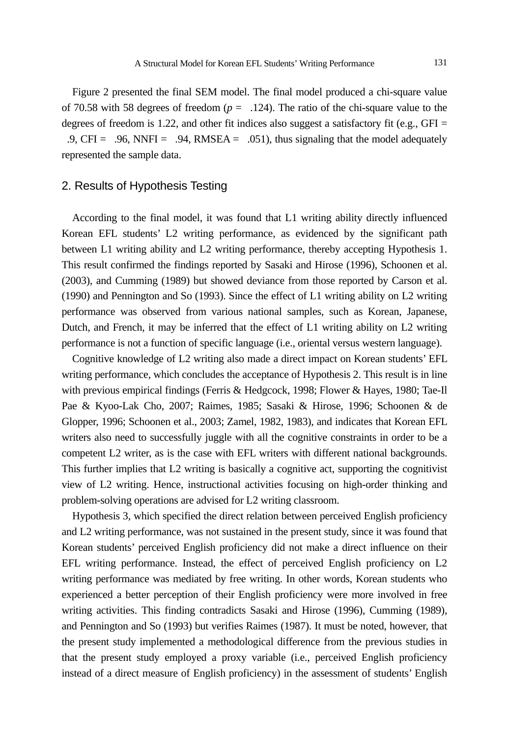Figure 2 presented the final SEM model. The final model produced a chi-square value of 70.58 with 58 degrees of freedom  $(p = 0.124)$ . The ratio of the chi-square value to the degrees of freedom is 1.22, and other fit indices also suggest a satisfactory fit (e.g., GFI =  $0.9, \text{CFI} = 0.96, \text{NNFI} = 0.94, \text{RMSEA} = 0.051$ , thus signaling that the model adequately represented the sample data.

### 2. Results of Hypothesis Testing

According to the final model, it was found that L1 writing ability directly influenced Korean EFL students' L2 writing performance, as evidenced by the significant path between L1 writing ability and L2 writing performance, thereby accepting Hypothesis 1. This result confirmed the findings reported by Sasaki and Hirose (1996), Schoonen et al. (2003), and Cumming (1989) but showed deviance from those reported by Carson et al. (1990) and Pennington and So (1993). Since the effect of L1 writing ability on L2 writing performance was observed from various national samples, such as Korean, Japanese, Dutch, and French, it may be inferred that the effect of L1 writing ability on L2 writing performance is not a function of specific language (i.e., oriental versus western language).

Cognitive knowledge of L2 writing also made a direct impact on Korean students' EFL writing performance, which concludes the acceptance of Hypothesis 2. This result is in line with previous empirical findings (Ferris & Hedgcock, 1998; Flower & Hayes, 1980; Tae-Il Pae & Kyoo-Lak Cho, 2007; Raimes, 1985; Sasaki & Hirose, 1996; Schoonen & de Glopper, 1996; Schoonen et al., 2003; Zamel, 1982, 1983), and indicates that Korean EFL writers also need to successfully juggle with all the cognitive constraints in order to be a competent L2 writer, as is the case with EFL writers with different national backgrounds. This further implies that L2 writing is basically a cognitive act, supporting the cognitivist view of L2 writing. Hence, instructional activities focusing on high-order thinking and problem-solving operations are advised for L2 writing classroom.

Hypothesis 3, which specified the direct relation between perceived English proficiency and L2 writing performance, was not sustained in the present study, since it was found that Korean students' perceived English proficiency did not make a direct influence on their EFL writing performance. Instead, the effect of perceived English proficiency on L2 writing performance was mediated by free writing. In other words, Korean students who experienced a better perception of their English proficiency were more involved in free writing activities. This finding contradicts Sasaki and Hirose (1996), Cumming (1989), and Pennington and So (1993) but verifies Raimes (1987). It must be noted, however, that the present study implemented a methodological difference from the previous studies in that the present study employed a proxy variable (i.e., perceived English proficiency instead of a direct measure of English proficiency) in the assessment of students' English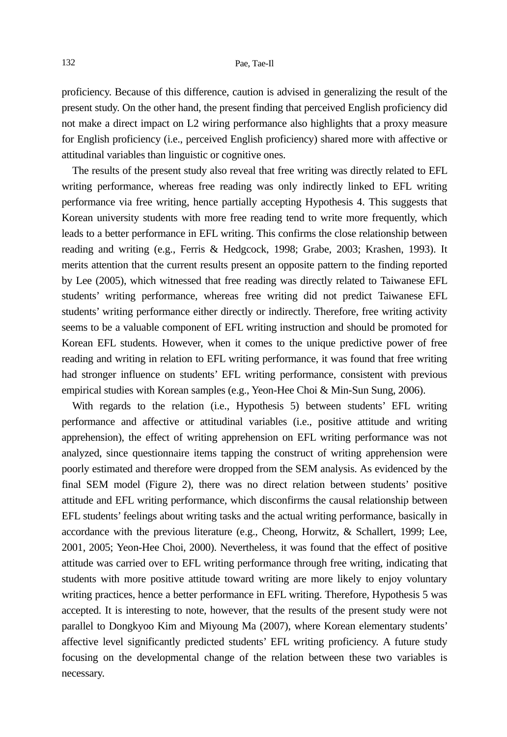proficiency. Because of this difference, caution is advised in generalizing the result of the present study. On the other hand, the present finding that perceived English proficiency did not make a direct impact on L2 wiring performance also highlights that a proxy measure for English proficiency (i.e., perceived English proficiency) shared more with affective or attitudinal variables than linguistic or cognitive ones.

The results of the present study also reveal that free writing was directly related to EFL writing performance, whereas free reading was only indirectly linked to EFL writing performance via free writing, hence partially accepting Hypothesis 4. This suggests that Korean university students with more free reading tend to write more frequently, which leads to a better performance in EFL writing. This confirms the close relationship between reading and writing (e.g., Ferris & Hedgcock, 1998; Grabe, 2003; Krashen, 1993). It merits attention that the current results present an opposite pattern to the finding reported by Lee (2005), which witnessed that free reading was directly related to Taiwanese EFL students' writing performance, whereas free writing did not predict Taiwanese EFL students' writing performance either directly or indirectly. Therefore, free writing activity seems to be a valuable component of EFL writing instruction and should be promoted for Korean EFL students. However, when it comes to the unique predictive power of free reading and writing in relation to EFL writing performance, it was found that free writing had stronger influence on students' EFL writing performance, consistent with previous empirical studies with Korean samples (e.g., Yeon-Hee Choi & Min-Sun Sung, 2006).

With regards to the relation (i.e., Hypothesis 5) between students' EFL writing performance and affective or attitudinal variables (i.e., positive attitude and writing apprehension), the effect of writing apprehension on EFL writing performance was not analyzed, since questionnaire items tapping the construct of writing apprehension were poorly estimated and therefore were dropped from the SEM analysis. As evidenced by the final SEM model (Figure 2), there was no direct relation between students' positive attitude and EFL writing performance, which disconfirms the causal relationship between EFL students' feelings about writing tasks and the actual writing performance, basically in accordance with the previous literature (e.g., Cheong, Horwitz, & Schallert, 1999; Lee, 2001, 2005; Yeon-Hee Choi, 2000). Nevertheless, it was found that the effect of positive attitude was carried over to EFL writing performance through free writing, indicating that students with more positive attitude toward writing are more likely to enjoy voluntary writing practices, hence a better performance in EFL writing. Therefore, Hypothesis 5 was accepted. It is interesting to note, however, that the results of the present study were not parallel to Dongkyoo Kim and Miyoung Ma (2007), where Korean elementary students' affective level significantly predicted students' EFL writing proficiency. A future study focusing on the developmental change of the relation between these two variables is necessary.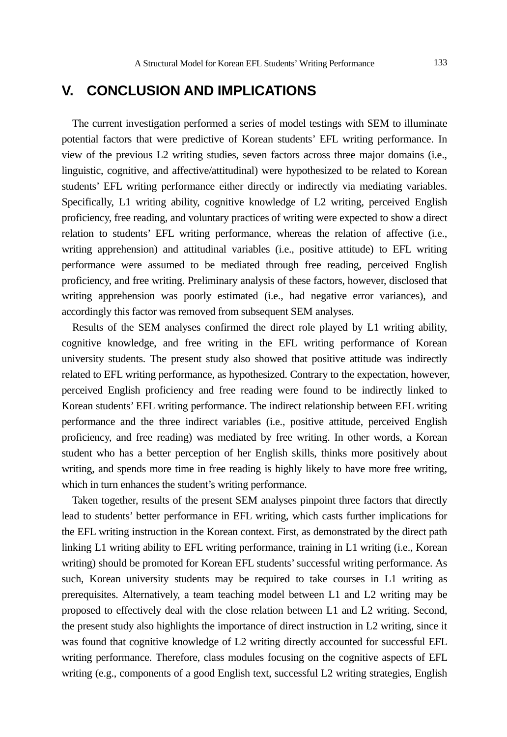# **V. CONCLUSION AND IMPLICATIONS**

The current investigation performed a series of model testings with SEM to illuminate potential factors that were predictive of Korean students' EFL writing performance. In view of the previous L2 writing studies, seven factors across three major domains (i.e., linguistic, cognitive, and affective/attitudinal) were hypothesized to be related to Korean students' EFL writing performance either directly or indirectly via mediating variables. Specifically, L1 writing ability, cognitive knowledge of L2 writing, perceived English proficiency, free reading, and voluntary practices of writing were expected to show a direct relation to students' EFL writing performance, whereas the relation of affective (i.e., writing apprehension) and attitudinal variables (i.e., positive attitude) to EFL writing performance were assumed to be mediated through free reading, perceived English proficiency, and free writing. Preliminary analysis of these factors, however, disclosed that writing apprehension was poorly estimated (i.e., had negative error variances), and accordingly this factor was removed from subsequent SEM analyses.

Results of the SEM analyses confirmed the direct role played by L1 writing ability, cognitive knowledge, and free writing in the EFL writing performance of Korean university students. The present study also showed that positive attitude was indirectly related to EFL writing performance, as hypothesized. Contrary to the expectation, however, perceived English proficiency and free reading were found to be indirectly linked to Korean students' EFL writing performance. The indirect relationship between EFL writing performance and the three indirect variables (i.e., positive attitude, perceived English proficiency, and free reading) was mediated by free writing. In other words, a Korean student who has a better perception of her English skills, thinks more positively about writing, and spends more time in free reading is highly likely to have more free writing, which in turn enhances the student's writing performance.

Taken together, results of the present SEM analyses pinpoint three factors that directly lead to students' better performance in EFL writing, which casts further implications for the EFL writing instruction in the Korean context. First, as demonstrated by the direct path linking L1 writing ability to EFL writing performance, training in L1 writing (i.e., Korean writing) should be promoted for Korean EFL students' successful writing performance. As such, Korean university students may be required to take courses in L1 writing as prerequisites. Alternatively, a team teaching model between L1 and L2 writing may be proposed to effectively deal with the close relation between L1 and L2 writing. Second, the present study also highlights the importance of direct instruction in L2 writing, since it was found that cognitive knowledge of L2 writing directly accounted for successful EFL writing performance. Therefore, class modules focusing on the cognitive aspects of EFL writing (e.g., components of a good English text, successful L2 writing strategies, English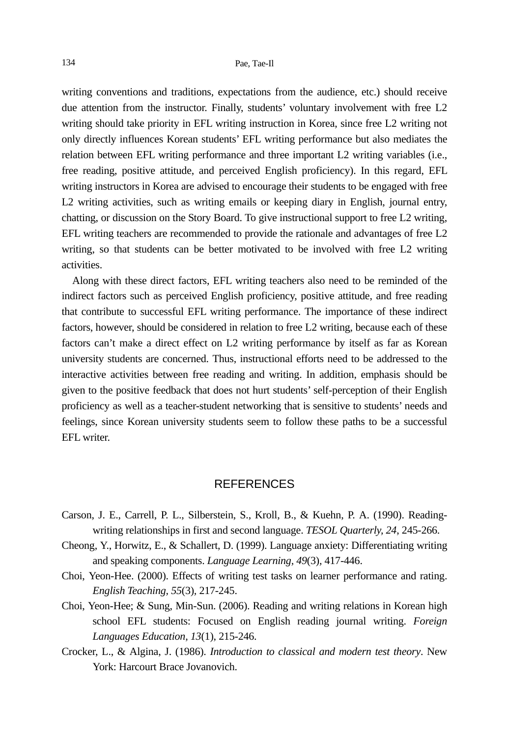writing conventions and traditions, expectations from the audience, etc.) should receive due attention from the instructor. Finally, students' voluntary involvement with free L2 writing should take priority in EFL writing instruction in Korea, since free L2 writing not only directly influences Korean students' EFL writing performance but also mediates the relation between EFL writing performance and three important L2 writing variables (i.e., free reading, positive attitude, and perceived English proficiency). In this regard, EFL writing instructors in Korea are advised to encourage their students to be engaged with free L2 writing activities, such as writing emails or keeping diary in English, journal entry, chatting, or discussion on the Story Board. To give instructional support to free L2 writing, EFL writing teachers are recommended to provide the rationale and advantages of free L2 writing, so that students can be better motivated to be involved with free L2 writing activities.

Along with these direct factors, EFL writing teachers also need to be reminded of the indirect factors such as perceived English proficiency, positive attitude, and free reading that contribute to successful EFL writing performance. The importance of these indirect factors, however, should be considered in relation to free L2 writing, because each of these factors can't make a direct effect on L2 writing performance by itself as far as Korean university students are concerned. Thus, instructional efforts need to be addressed to the interactive activities between free reading and writing. In addition, emphasis should be given to the positive feedback that does not hurt students' self-perception of their English proficiency as well as a teacher-student networking that is sensitive to students' needs and feelings, since Korean university students seem to follow these paths to be a successful EFL writer.

### REFERENCES

- Carson, J. E., Carrell, P. L., Silberstein, S., Kroll, B., & Kuehn, P. A. (1990). Readingwriting relationships in first and second language. *TESOL Quarterly, 24*, 245-266.
- Cheong, Y., Horwitz, E., & Schallert, D. (1999). Language anxiety: Differentiating writing and speaking components. *Language Learning, 49*(3)*,* 417-446.
- Choi, Yeon-Hee. (2000). Effects of writing test tasks on learner performance and rating. *English Teaching, 55*(3)*,* 217-245.
- Choi, Yeon-Hee; & Sung, Min-Sun. (2006). Reading and writing relations in Korean high school EFL students: Focused on English reading journal writing. *Foreign Languages Education, 13*(1), 215-246.
- Crocker, L., & Algina, J. (1986). *Introduction to classical and modern test theory*. New York: Harcourt Brace Jovanovich.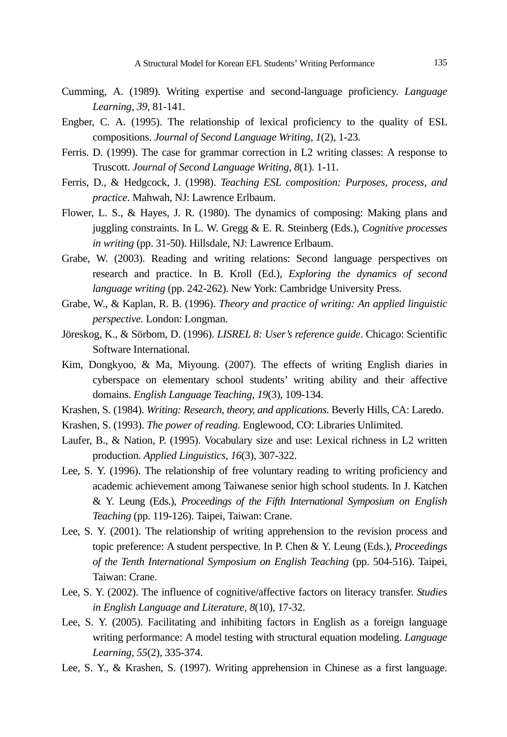- Cumming, A. (1989). Writing expertise and second-language proficiency. *Language Learning, 39*, 81-141.
- Engber, C. A. (1995). The relationship of lexical proficiency to the quality of ESL compositions. *Journal of Second Language Writing, 1*(2), 1-23.
- Ferris. D. (1999). The case for grammar correction in L2 writing classes: A response to Truscott. *Journal of Second Language Writing, 8*(1). 1-11.
- Ferris, D., & Hedgcock, J. (1998). *Teaching ESL composition: Purposes, process, and practice*. Mahwah, NJ: Lawrence Erlbaum.
- Flower, L. S., & Hayes, J. R. (1980). The dynamics of composing: Making plans and juggling constraints. In L. W. Gregg & E. R. Steinberg (Eds.), *Cognitive processes in writing* (pp. 31-50). Hillsdale, NJ: Lawrence Erlbaum.
- Grabe, W. (2003). Reading and writing relations: Second language perspectives on research and practice. In B. Kroll (Ed.), *Exploring the dynamics of second language writing* (pp. 242-262). New York: Cambridge University Press.
- Grabe, W., & Kaplan, R. B. (1996). *Theory and practice of writing: An applied linguistic perspective.* London: Longman.
- Jöreskog, K., & Sörbom, D. (1996). *LISREL 8: User's reference guide*. Chicago: Scientific Software International.
- Kim, Dongkyoo, & Ma, Miyoung. (2007). The effects of writing English diaries in cyberspace on elementary school students' writing ability and their affective domains. *English Language Teaching, 19*(3), 109-134.
- Krashen, S. (1984). *Writing: Research, theory, and applications.* Beverly Hills, CA: Laredo.
- Krashen, S. (1993). *The power of reading.* Englewood, CO: Libraries Unlimited.
- Laufer, B., & Nation, P. (1995). Vocabulary size and use: Lexical richness in L2 written production. *Applied Linguistics, 16*(3)*,* 307-322.
- Lee, S. Y. (1996). The relationship of free voluntary reading to writing proficiency and academic achievement among Taiwanese senior high school students. In J. Katchen & Y. Leung (Eds.), *Proceedings of the Fifth International Symposium on English Teaching* (pp. 119-126). Taipei, Taiwan: Crane.
- Lee, S. Y. (2001). The relationship of writing apprehension to the revision process and topic preference: A student perspective. In P. Chen & Y. Leung (Eds.), *Proceedings of the Tenth International Symposium on English Teaching* (pp. 504-516). Taipei, Taiwan: Crane.
- Lee, S. Y. (2002). The influence of cognitive/affective factors on literacy transfer. *Studies in English Language and Literature, 8*(10)*,* 17-32.
- Lee, S. Y. (2005). Facilitating and inhibiting factors in English as a foreign language writing performance: A model testing with structural equation modeling. *Language Learning, 55*(2)*,* 335-374.
- Lee, S. Y., & Krashen, S. (1997). Writing apprehension in Chinese as a first language.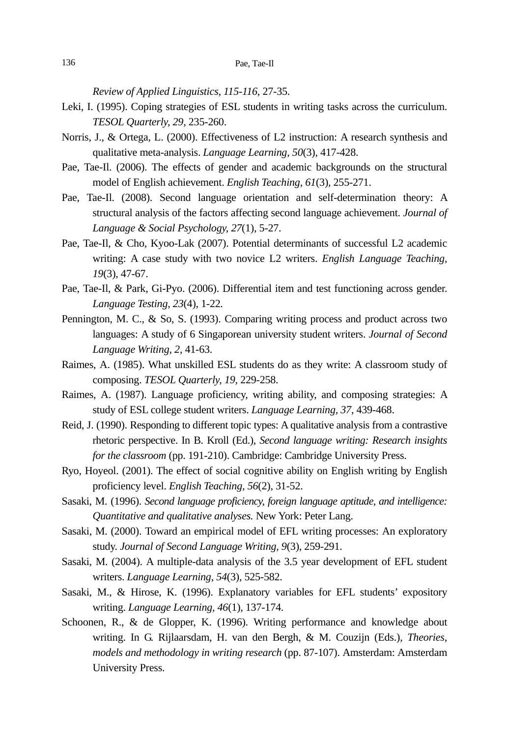*Review of Applied Linguistics, 115-116*, 27-35.

- Leki, I. (1995). Coping strategies of ESL students in writing tasks across the curriculum. *TESOL Quarterly, 29*, 235-260.
- Norris, J., & Ortega, L. (2000). Effectiveness of L2 instruction: A research synthesis and qualitative meta-analysis. *Language Learning, 50*(3)*,* 417-428.
- Pae, Tae-Il. (2006). The effects of gender and academic backgrounds on the structural model of English achievement. *English Teaching, 61*(3)*,* 255-271.
- Pae, Tae-Il. (2008). Second language orientation and self-determination theory: A structural analysis of the factors affecting second language achievement. *Journal of Language & Social Psychology, 27*(1)*,* 5-27.
- Pae, Tae-Il, & Cho, Kyoo-Lak (2007). Potential determinants of successful L2 academic writing: A case study with two novice L2 writers. *English Language Teaching, 19*(3), 47-67.
- Pae, Tae-Il, & Park, Gi-Pyo. (2006). Differential item and test functioning across gender. *Language Testing, 23*(4)*,* 1-22*.*
- Pennington, M. C., & So, S. (1993). Comparing writing process and product across two languages: A study of 6 Singaporean university student writers. *Journal of Second Language Writing, 2,* 41-63.
- Raimes, A. (1985). What unskilled ESL students do as they write: A classroom study of composing. *TESOL Quarterly, 19*, 229-258.
- Raimes, A. (1987). Language proficiency, writing ability, and composing strategies: A study of ESL college student writers. *Language Learning, 37*, 439-468.
- Reid, J. (1990). Responding to different topic types: A qualitative analysis from a contrastive rhetoric perspective. In B. Kroll (Ed.), *Second language writing: Research insights for the classroom* (pp. 191-210). Cambridge: Cambridge University Press.
- Ryo, Hoyeol. (2001). The effect of social cognitive ability on English writing by English proficiency level. *English Teaching, 56*(2)*,* 31-52.
- Sasaki, M. (1996). *Second language proficiency, foreign language aptitude, and intelligence: Quantitative and qualitative analyses.* New York: Peter Lang.
- Sasaki, M. (2000). Toward an empirical model of EFL writing processes: An exploratory study. *Journal of Second Language Writing, 9*(3), 259-291.
- Sasaki, M. (2004). A multiple-data analysis of the 3.5 year development of EFL student writers. *Language Learning, 54*(3)*,* 525-582.
- Sasaki, M., & Hirose, K. (1996). Explanatory variables for EFL students' expository writing. *Language Learning, 46*(1)*,* 137-174.
- Schoonen, R., & de Glopper, K. (1996). Writing performance and knowledge about writing. In G. Rijlaarsdam, H. van den Bergh, & M. Couzijn (Eds.), *Theories, models and methodology in writing research* (pp. 87-107). Amsterdam: Amsterdam University Press.